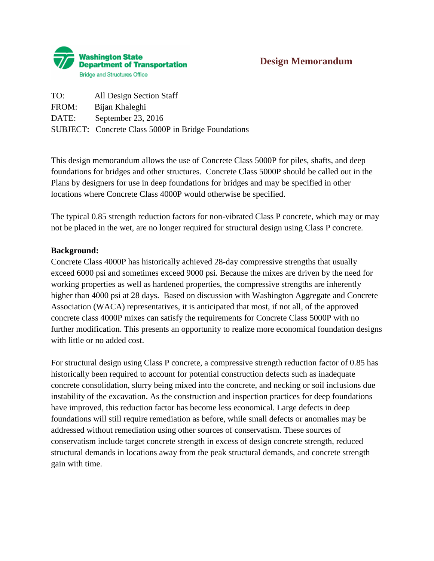

# **Design Memorandum**

TO: All Design Section Staff FROM: Bijan Khaleghi DATE: September 23, 2016 SUBJECT: Concrete Class 5000P in Bridge Foundations

This design memorandum allows the use of Concrete Class 5000P for piles, shafts, and deep foundations for bridges and other structures. Concrete Class 5000P should be called out in the Plans by designers for use in deep foundations for bridges and may be specified in other locations where Concrete Class 4000P would otherwise be specified.

The typical 0.85 strength reduction factors for non-vibrated Class P concrete, which may or may not be placed in the wet, are no longer required for structural design using Class P concrete.

#### **Background:**

Concrete Class 4000P has historically achieved 28-day compressive strengths that usually exceed 6000 psi and sometimes exceed 9000 psi. Because the mixes are driven by the need for working properties as well as hardened properties, the compressive strengths are inherently higher than 4000 psi at 28 days. Based on discussion with Washington Aggregate and Concrete Association (WACA) representatives, it is anticipated that most, if not all, of the approved concrete class 4000P mixes can satisfy the requirements for Concrete Class 5000P with no further modification. This presents an opportunity to realize more economical foundation designs with little or no added cost.

For structural design using Class P concrete, a compressive strength reduction factor of 0.85 has historically been required to account for potential construction defects such as inadequate concrete consolidation, slurry being mixed into the concrete, and necking or soil inclusions due instability of the excavation. As the construction and inspection practices for deep foundations have improved, this reduction factor has become less economical. Large defects in deep foundations will still require remediation as before, while small defects or anomalies may be addressed without remediation using other sources of conservatism. These sources of conservatism include target concrete strength in excess of design concrete strength, reduced structural demands in locations away from the peak structural demands, and concrete strength gain with time.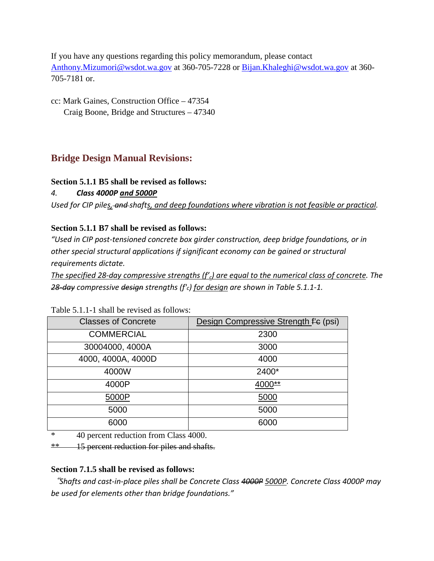If you have any questions regarding this policy memorandum, please contact [Anthony.Mizumori@wsdot.wa.gov](mailto:Anthony.Mizumori@wsdot.wa.gov) at 360-705-7228 or [Bijan.Khaleghi@wsdot.wa.gov](mailto:Bijan.Khaleghi@wsdot.wa.gov) at 360- 705-7181 or.

cc: Mark Gaines, Construction Office – 47354 Craig Boone, Bridge and Structures – 47340

# **Bridge Design Manual Revisions:**

# **Section 5.1.1 B5 shall be revised as follows:**

# *4. Class 4000P and 5000P*

*Used for CIP piles, and shafts, and deep foundations where vibration is not feasible or practical.* 

# **Section 5.1.1 B7 shall be revised as follows:**

*"Used in CIP post-tensioned concrete box girder construction, deep bridge foundations, or in other special structural applications if significant economy can be gained or structural requirements dictate.* 

*The specified 28-day compressive strengths (f'c) are equal to the numerical class of concrete. The 28-day compressive design strengths (ƒ'c) for design are shown in Table 5.1.1-1.* 

| <b>Classes of Concrete</b> | Design Compressive Strength f'e (psi) |  |
|----------------------------|---------------------------------------|--|
| <b>COMMERCIAL</b>          | 2300                                  |  |
| 30004000, 4000A            | 3000                                  |  |
| 4000, 4000A, 4000D         | 4000                                  |  |
| 4000W                      | 2400*                                 |  |
| 4000P                      | 4000**                                |  |
| 5000P                      | 5000                                  |  |
| 5000                       | 5000                                  |  |
| 6000                       | 6000                                  |  |

Table 5.1.1-1 shall be revised as follows:

\* 40 percent reduction from Class 4000.

\*\* 15 percent reduction for piles and shafts.

# **Section 7.1.5 shall be revised as follows:**

"*Shafts and cast-in-place piles shall be Concrete Class 4000P 5000P. Concrete Class 4000P may be used for elements other than bridge foundations."*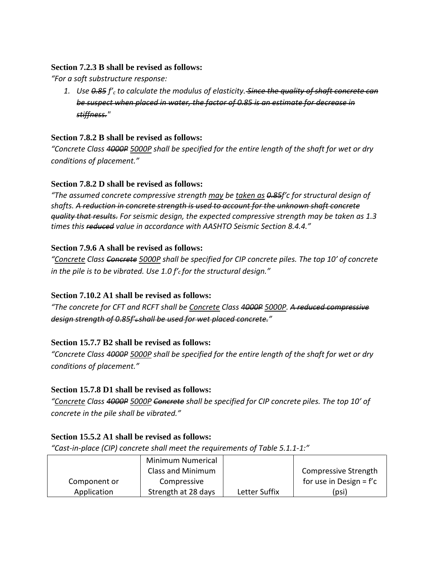### **Section 7.2.3 B shall be revised as follows:**

*"For a soft substructure response:*

*1. Use 0.85 f'c to calculate the modulus of elasticity. Since the quality of shaft concrete can be suspect when placed in water, the factor of 0.85 is an estimate for decrease in stiffness."* 

### **Section 7.8.2 B shall be revised as follows:**

*"Concrete Class 4000P 5000P shall be specified for the entire length of the shaft for wet or dry conditions of placement."*

#### **Section 7.8.2 D shall be revised as follows:**

*"The assumed concrete compressive strength may be taken as 0.85ƒ′c for structural design of shafts. A reduction in concrete strength is used to account for the unknown shaft concrete quality that results. For seismic design, the expected compressive strength may be taken as 1.3 times this reduced value in accordance with AASHTO Seismic Section 8.4.4."* 

#### **Section 7.9.6 A shall be revised as follows:**

*"Concrete Class Concrete 5000P shall be specified for CIP concrete piles. The top 10′ of concrete in the pile is to be vibrated. Use 1.0 ƒ′c for the structural design."*

# **Section 7.10.2 A1 shall be revised as follows:**

*"The concrete for CFT and RCFT shall be Concrete Class 4000P 5000P. A reduced compressive design strength of 0.85f'c shall be used for wet placed concrete."* 

# **Section 15.7.7 B2 shall be revised as follows:**

*"Concrete Class 4000P 5000P shall be specified for the entire length of the shaft for wet or dry conditions of placement."*

# **Section 15.7.8 D1 shall be revised as follows:**

*"Concrete Class 4000P 5000P Concrete shall be specified for CIP concrete piles. The top 10' of concrete in the pile shall be vibrated."*

# **Section 15.5.2 A1 shall be revised as follows:**

*"Cast-in-place (CIP) concrete shall meet the requirements of Table 5.1.1-1:"*

|              | Minimum Numerical   |               |                           |
|--------------|---------------------|---------------|---------------------------|
|              | Class and Minimum   |               | Compressive Strength      |
| Component or | Compressive         |               | for use in Design = $f'c$ |
| Application  | Strength at 28 days | Letter Suffix | (psi)                     |